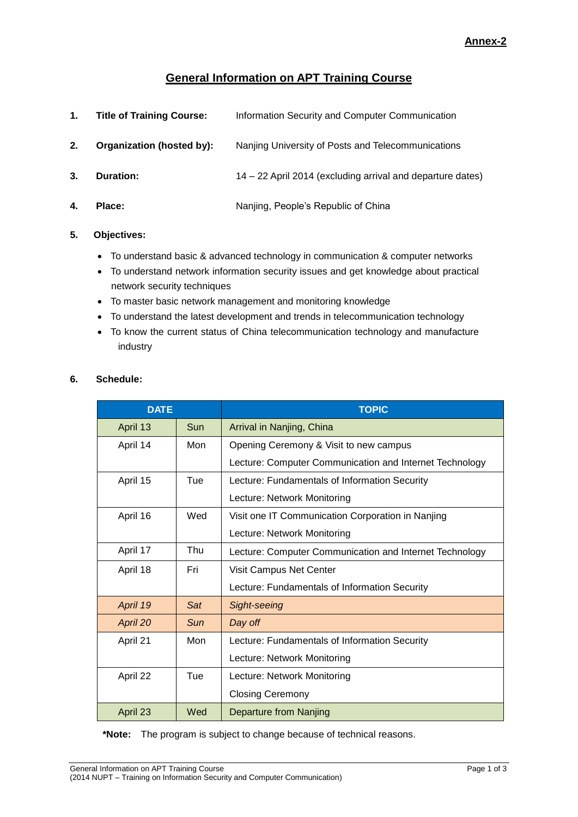# **General Information on APT Training Course**

| 1. | <b>Title of Training Course:</b> | Information Security and Computer Communication            |
|----|----------------------------------|------------------------------------------------------------|
| 2. | Organization (hosted by):        | Nanjing University of Posts and Telecommunications         |
| 3. | Duration:                        | 14 – 22 April 2014 (excluding arrival and departure dates) |
| 4. | Place:                           | Nanjing, People's Republic of China                        |

## **5. Objectives:**

- To understand basic & advanced technology in communication & computer networks
- To understand network information security issues and get knowledge about practical network security techniques
- To master basic network management and monitoring knowledge
- To understand the latest development and trends in telecommunication technology
- To know the current status of China telecommunication technology and manufacture industry

| <b>DATE</b> |     | <b>TOPIC</b>                                            |
|-------------|-----|---------------------------------------------------------|
| April 13    | Sun | Arrival in Nanjing, China                               |
| April 14    | Mon | Opening Ceremony & Visit to new campus                  |
|             |     | Lecture: Computer Communication and Internet Technology |
| April 15    | Tue | Lecture: Fundamentals of Information Security           |
|             |     | Lecture: Network Monitoring                             |
| April 16    | Wed | Visit one IT Communication Corporation in Nanjing       |
|             |     | Lecture: Network Monitoring                             |
| April 17    | Thu | Lecture: Computer Communication and Internet Technology |
| April 18    | Fri | Visit Campus Net Center                                 |
|             |     | Lecture: Fundamentals of Information Security           |
| April 19    | Sat | Sight-seeing                                            |
| April 20    | Sun | Day off                                                 |
| April 21    | Mon | Lecture: Fundamentals of Information Security           |
|             |     | Lecture: Network Monitoring                             |
| April 22    | Tue | Lecture: Network Monitoring                             |
|             |     | <b>Closing Ceremony</b>                                 |
| April 23    | Wed | Departure from Nanjing                                  |

**\*Note:** The program is subject to change because of technical reasons.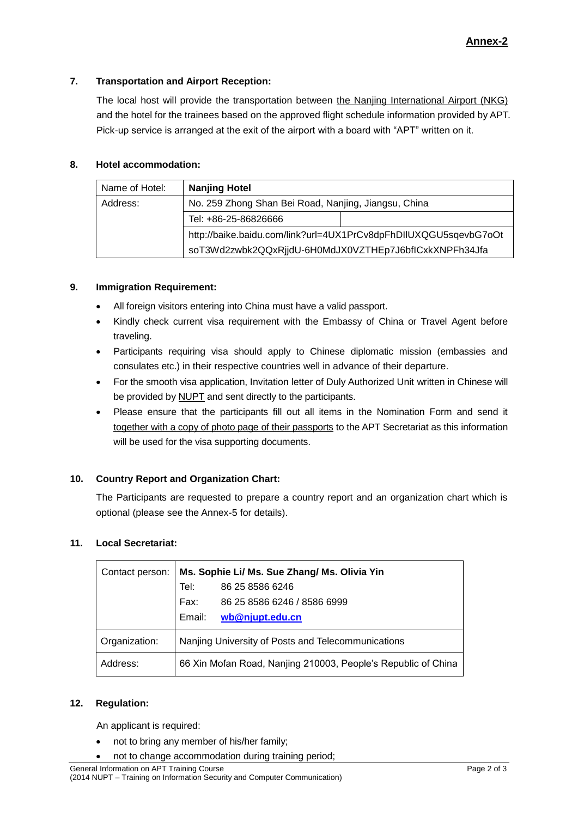## **7. Transportation and Airport Reception:**

The local host will provide the transportation between the Nanjing International Airport (NKG) and the hotel for the trainees based on the approved flight schedule information provided by APT. Pick-up service is arranged at the exit of the airport with a board with "APT" written on it.

## **8. Hotel accommodation:**

| Name of Hotel: | <b>Nanjing Hotel</b>                                             |  |  |
|----------------|------------------------------------------------------------------|--|--|
| Address:       | No. 259 Zhong Shan Bei Road, Nanjing, Jiangsu, China             |  |  |
|                | Tel: +86-25-86826666                                             |  |  |
|                | http://baike.baidu.com/link?url=4UX1PrCv8dpFhDIIUXQGU5sqevbG7oOt |  |  |
|                | soT3Wd2zwbk2QQxRjjdU-6H0MdJX0VZTHEp7J6bflCxkXNPFh34Jfa           |  |  |

## **9. Immigration Requirement:**

- All foreign visitors entering into China must have a valid passport.
- Kindly check current visa requirement with the Embassy of China or Travel Agent before traveling.
- Participants requiring visa should apply to Chinese diplomatic mission (embassies and consulates etc.) in their respective countries well in advance of their departure.
- For the smooth visa application, Invitation letter of Duly Authorized Unit written in Chinese will be provided by NUPT and sent directly to the participants.
- Please ensure that the participants fill out all items in the Nomination Form and send it together with a copy of photo page of their passports to the APT Secretariat as this information will be used for the visa supporting documents.

# **10. Country Report and Organization Chart:**

The Participants are requested to prepare a country report and an organization chart which is optional (please see the Annex-5 for details).

# **11. Local Secretariat:**

| Contact person: | Ms. Sophie Li/ Ms. Sue Zhang/ Ms. Olivia Yin                  |  |  |
|-----------------|---------------------------------------------------------------|--|--|
|                 | 86 25 8586 6246<br>Tel:                                       |  |  |
|                 | Fax:<br>86 25 8586 6246 / 8586 6999                           |  |  |
|                 | Email:<br>wb@njupt.edu.cn                                     |  |  |
| Organization:   | Nanjing University of Posts and Telecommunications            |  |  |
| Address:        | 66 Xin Mofan Road, Nanjing 210003, People's Republic of China |  |  |

#### **12. Regulation:**

An applicant is required:

- not to bring any member of his/her family;
- not to change accommodation during training period;